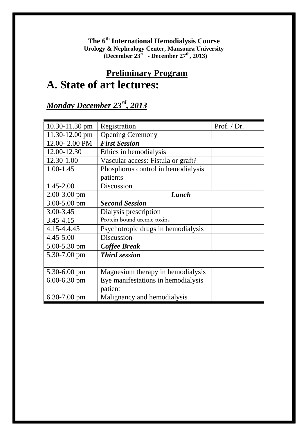**The 6th International Hemodialysis Course Urology & Nephrology Center, Mansoura University (December 23rd - December 27th, 2013)**

## **Preliminary Program A. State of art lectures:**

#### *Monday December 23rd, 2013*

| 10.30-11.30 pm     | Prof. / Dr.<br>Registration        |  |  |  |
|--------------------|------------------------------------|--|--|--|
| $11.30 - 12.00$ pm | <b>Opening Ceremony</b>            |  |  |  |
| 12.00-2.00 PM      | <b>First Session</b>               |  |  |  |
| 12.00-12.30        | Ethics in hemodialysis             |  |  |  |
| 12.30-1.00         | Vascular access: Fistula or graft? |  |  |  |
| $1.00 - 1.45$      | Phosphorus control in hemodialysis |  |  |  |
|                    | patients                           |  |  |  |
| 1.45-2.00          | Discussion                         |  |  |  |
| $2.00 - 3.00$ pm   | Lunch                              |  |  |  |
| 3.00-5.00 pm       | <b>Second Session</b>              |  |  |  |
| 3.00-3.45          | Dialysis prescription              |  |  |  |
| 3.45-4.15          | Protein bound uremic toxins        |  |  |  |
| 4.15-4.4.45        | Psychotropic drugs in hemodialysis |  |  |  |
| 4.45-5.00          | Discussion                         |  |  |  |
| 5.00-5.30 pm       | <b>Coffee Break</b>                |  |  |  |
| 5.30-7.00 pm       | <b>Third session</b>               |  |  |  |
|                    |                                    |  |  |  |
| $5.30 - 6.00$ pm   | Magnesium therapy in hemodialysis  |  |  |  |
| $6.00 - 6.30$ pm   | Eye manifestations in hemodialysis |  |  |  |
|                    | patient                            |  |  |  |
| $6.30 - 7.00$ pm   | Malignancy and hemodialysis        |  |  |  |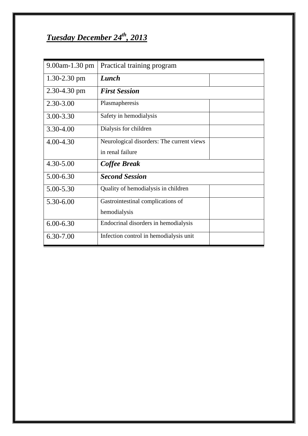# *Tuesday December 24th, 2013*

| $9.00$ am $-1.30$ pm | Practical training program                |  |
|----------------------|-------------------------------------------|--|
| $1.30 - 2.30$ pm     | Lunch                                     |  |
| $2.30 - 4.30$ pm     | <b>First Session</b>                      |  |
| 2.30-3.00            | Plasmapheresis                            |  |
| 3.00-3.30            | Safety in hemodialysis                    |  |
| 3.30-4.00            | Dialysis for children                     |  |
| 4.00-4.30            | Neurological disorders: The current views |  |
|                      | in renal failure                          |  |
| 4.30-5.00            | Coffee Break                              |  |
| 5.00-6.30            | <b>Second Session</b>                     |  |
| $5.00 - 5.30$        | Quality of hemodialysis in children       |  |
| 5.30-6.00            | Gastrointestinal complications of         |  |
|                      | hemodialysis                              |  |
| $6.00 - 6.30$        | Endocrinal disorders in hemodialysis      |  |
| 6.30-7.00            | Infection control in hemodialysis unit    |  |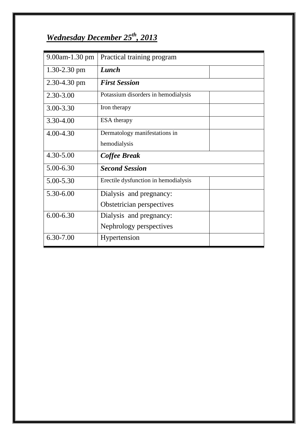#### *Wednesday December 25th , 2013*

| 9.00am-1.30 pm   | Practical training program           |  |  |
|------------------|--------------------------------------|--|--|
| $1.30 - 2.30$ pm | Lunch                                |  |  |
| $2.30 - 4.30$ pm | <b>First Session</b>                 |  |  |
| 2.30-3.00        | Potassium disorders in hemodialysis  |  |  |
| 3.00-3.30        | Iron therapy                         |  |  |
| 3.30-4.00        | <b>ESA</b> therapy                   |  |  |
| 4.00-4.30        | Dermatology manifestations in        |  |  |
|                  | hemodialysis                         |  |  |
| 4.30-5.00        | Coffee Break                         |  |  |
| 5.00-6.30        | <b>Second Session</b>                |  |  |
| 5.00-5.30        | Erectile dysfunction in hemodialysis |  |  |
| 5.30-6.00        | Dialysis and pregnancy:              |  |  |
|                  | Obstetrician perspectives            |  |  |
| $6.00 - 6.30$    | Dialysis and pregnancy:              |  |  |
|                  | Nephrology perspectives              |  |  |
| 6.30-7.00        | Hypertension                         |  |  |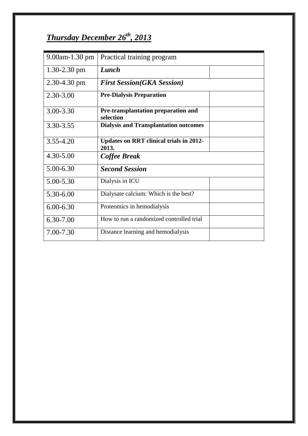### *Thursday December 26th , 2013*

| $9.00$ am $-1.30$ pm | Practical training program                              |
|----------------------|---------------------------------------------------------|
| $1.30 - 2.30$ pm     | Lunch                                                   |
| $2.30 - 4.30$ pm     | <b>First Session(GKA Session)</b>                       |
| 2.30-3.00            | <b>Pre-Dialysis Preparation</b>                         |
| 3.00-3.30            | Pre-transplantation preparation and<br>selection        |
| 3.30-3.55            | <b>Dialysis and Transplantation outcomes</b>            |
| $3.55 - 4.20$        | <b>Updates on RRT clinical trials in 2012-</b><br>2013. |
| $4.30 - 5.00$        | Coffee Break                                            |
| 5.00-6.30            | <b>Second Session</b>                                   |
| 5.00-5.30            | Dialysis in ICU                                         |
| 5.30-6.00            | Dialysate calcium: Which is the best?                   |
| $6.00 - 6.30$        | Proteomics in hemodialysis                              |
| 6.30-7.00            | How to run a randomized controlled trial                |
| 7.00-7.30            | Distance learning and hemodialysis                      |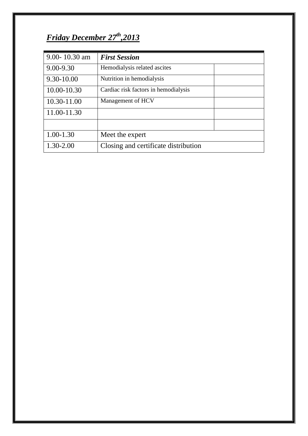#### *Friday December 27th ,2013*

| 9.00-10.30 am | <b>First Session</b>                 |  |
|---------------|--------------------------------------|--|
| $9.00 - 9.30$ | Hemodialysis related ascites         |  |
| 9.30-10.00    | Nutrition in hemodialysis            |  |
| 10.00-10.30   | Cardiac risk factors in hemodialysis |  |
| 10.30-11.00   | Management of HCV                    |  |
| 11.00-11.30   |                                      |  |
|               |                                      |  |
| $1.00 - 1.30$ | Meet the expert                      |  |
| 1.30-2.00     | Closing and certificate distribution |  |